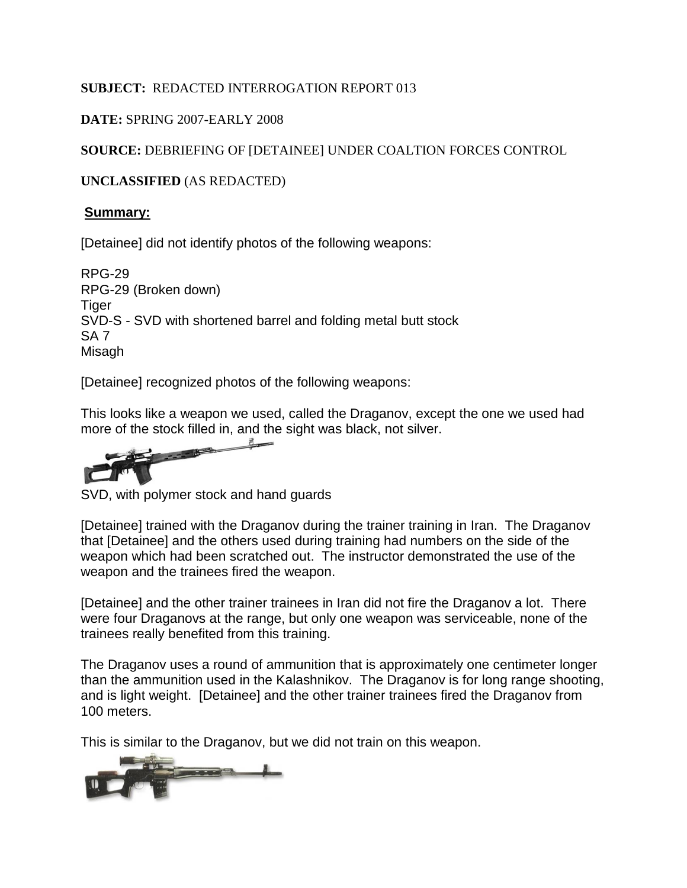## **SUBJECT:** REDACTED INTERROGATION REPORT 013

# **DATE:** SPRING 2007-EARLY 2008

# **SOURCE:** DEBRIEFING OF [DETAINEE] UNDER COALTION FORCES CONTROL

# **UNCLASSIFIED** (AS REDACTED)

## **Summary:**

[Detainee] did not identify photos of the following weapons:

RPG-29 RPG-29 (Broken down) Tiger SVD-S - SVD with shortened barrel and folding metal butt stock SA 7 Misagh

[Detainee] recognized photos of the following weapons:

This looks like a weapon we used, called the Draganov, except the one we used had more of the stock filled in, and the sight was black, not silver.

 $E_{\alpha}$ ---- a

SVD, with polymer stock and hand guards

[Detainee] trained with the Draganov during the trainer training in Iran. The Draganov that [Detainee] and the others used during training had numbers on the side of the weapon which had been scratched out. The instructor demonstrated the use of the weapon and the trainees fired the weapon.

[Detainee] and the other trainer trainees in Iran did not fire the Draganov a lot. There were four Draganovs at the range, but only one weapon was serviceable, none of the trainees really benefited from this training.

The Draganov uses a round of ammunition that is approximately one centimeter longer than the ammunition used in the Kalashnikov. The Draganov is for long range shooting, and is light weight. [Detainee] and the other trainer trainees fired the Draganov from 100 meters.

This is similar to the Draganov, but we did not train on this weapon.

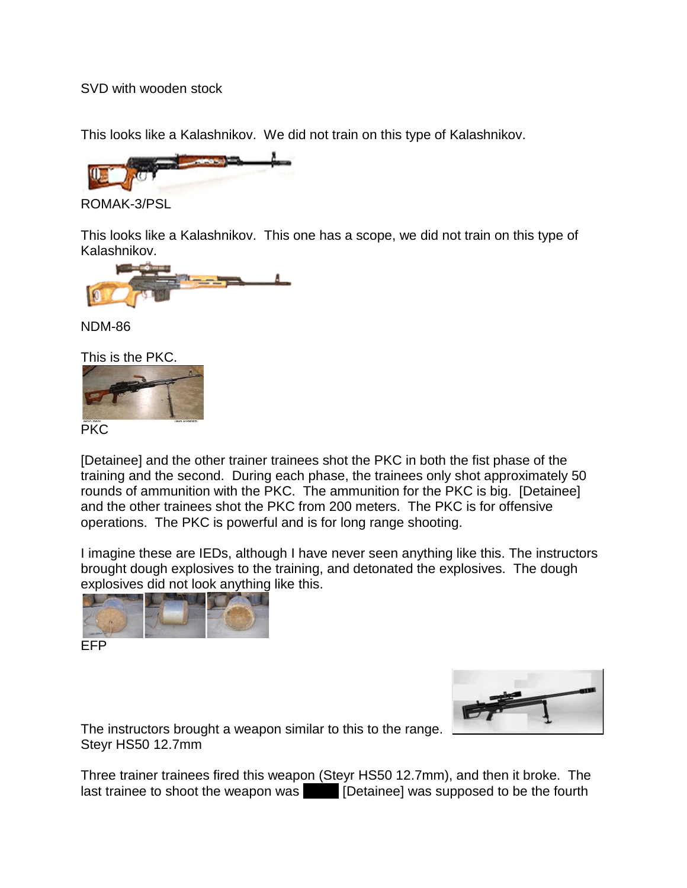SVD with wooden stock

This looks like a Kalashnikov. We did not train on this type of Kalashnikov.



ROMAK-3/PSL

This looks like a Kalashnikov. This one has a scope, we did not train on this type of [Kalashnikov.](http://www.dragunov.net/romanian_psl.htm)



NDM-86

This is the PKC.



**PKC** 

[Detainee] and the other trainer trainees shot the PKC in both the fist phase of the training and the second. During each phase, the trainees only shot approximately 50 rounds of ammunition with the PKC. The ammunition for the PKC is big. [Detainee] and the other trainees shot the PKC from 200 meters. The PKC is for offensive operations. The PKC is powerful and is for long range shooting.

I imagine these are IEDs, although I have never seen anything like this. The instructors brought dough explosives to the training, and detonated the explosives. The dough explosives did not look anything like this.



EFP



The instructors brought a weapon similar to this to the range. Steyr HS50 12.7mm

Three trainer trainees fired this weapon (Steyr HS50 12.7mm), and then it broke. The  $\frac{1}{\sqrt{2}}$  last trainee to shoot the weapon was  $\frac{1}{\sqrt{2}}$  [Detainee] was supposed to be the fourth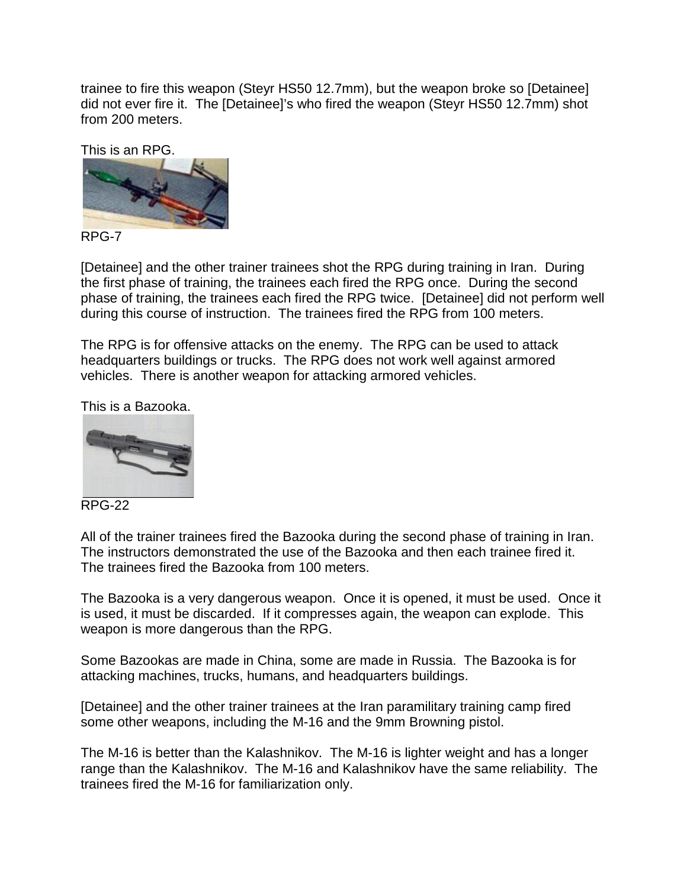trainee to fire this weapon (Steyr HS50 12.7mm), but the weapon broke so [Detainee] did not ever fire it. The [Detainee]'s who fired the weapon (Steyr HS50 12.7mm) shot from 200 meters.

This is an RPG.



RPG-7

[Detainee] and the other trainer trainees shot the RPG during training in Iran. During the first phase of training, the trainees each fired the RPG once. During the second phase of training, the trainees each fired the RPG twice. [Detainee] did not perform well during this course of instruction. The trainees fired the RPG from 100 meters.

The RPG is for offensive attacks on the enemy. The RPG can be used to attack headquarters buildings or trucks. The RPG does not work well against armored vehicles. There is another weapon for attacking armored vehicles.

This is a Bazooka.



RPG-22

All of the trainer trainees fired the Bazooka during the second phase of training in Iran. The instructors demonstrated the use of the Bazooka and then each trainee fired it. The trainees fired the Bazooka from 100 meters.

The Bazooka is a very dangerous weapon. Once it is opened, it must be used. Once it is used, it must be discarded. If it compresses again, the weapon can explode. This weapon is more dangerous than the RPG.

Some Bazookas are made in China, some are made in Russia. The Bazooka is for attacking machines, trucks, humans, and headquarters buildings.

[Detainee] and the other trainer trainees at the Iran paramilitary training camp fired some other weapons, including the M-16 and the 9mm Browning pistol.

The M-16 is better than the Kalashnikov. The M-16 is lighter weight and has a longer range than the Kalashnikov. The M-16 and Kalashnikov have the same reliability. The trainees fired the M-16 for familiarization only.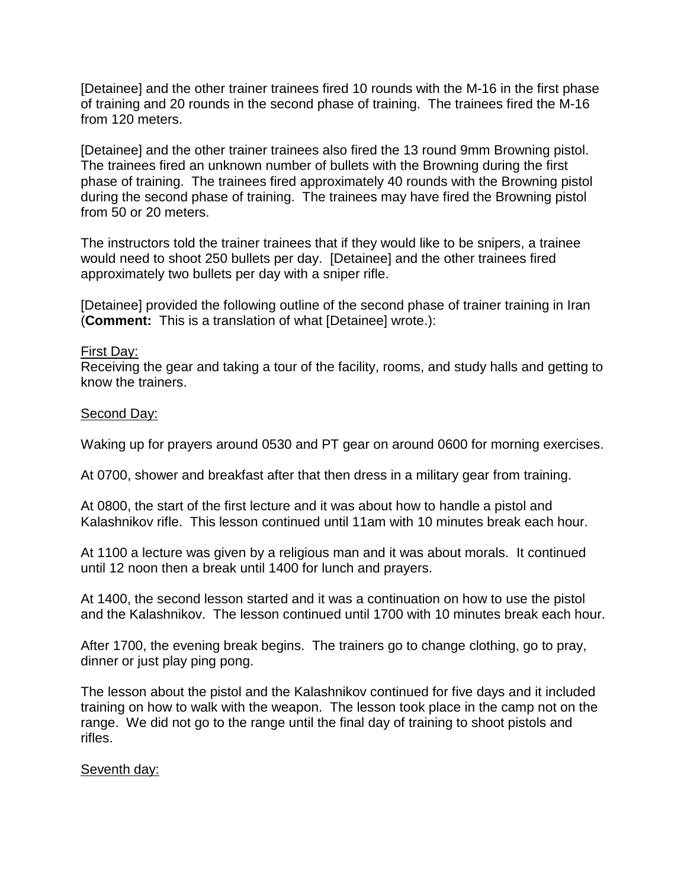[Detainee] and the other trainer trainees fired 10 rounds with the M-16 in the first phase of training and 20 rounds in the second phase of training. The trainees fired the M-16 from 120 meters.

[Detainee] and the other trainer trainees also fired the 13 round 9mm Browning pistol. The trainees fired an unknown number of bullets with the Browning during the first phase of training. The trainees fired approximately 40 rounds with the Browning pistol during the second phase of training. The trainees may have fired the Browning pistol from 50 or 20 meters.

The instructors told the trainer trainees that if they would like to be snipers, a trainee would need to shoot 250 bullets per day. [Detainee] and the other trainees fired approximately two bullets per day with a sniper rifle.

[Detainee] provided the following outline of the second phase of trainer training in Iran (**Comment:** This is a translation of what [Detainee] wrote.):

### First Day:

Receiving the gear and taking a tour of the facility, rooms, and study halls and getting to know the trainers.

## Second Day:

Waking up for prayers around 0530 and PT gear on around 0600 for morning exercises.

At 0700, shower and breakfast after that then dress in a military gear from training.

At 0800, the start of the first lecture and it was about how to handle a pistol and Kalashnikov rifle. This lesson continued until 11am with 10 minutes break each hour.

At 1100 a lecture was given by a religious man and it was about morals. It continued until 12 noon then a break until 1400 for lunch and prayers.

At 1400, the second lesson started and it was a continuation on how to use the pistol and the Kalashnikov. The lesson continued until 1700 with 10 minutes break each hour.

After 1700, the evening break begins. The trainers go to change clothing, go to pray, dinner or just play ping pong.

The lesson about the pistol and the Kalashnikov continued for five days and it included training on how to walk with the weapon. The lesson took place in the camp not on the range. We did not go to the range until the final day of training to shoot pistols and rifles.

## Seventh day: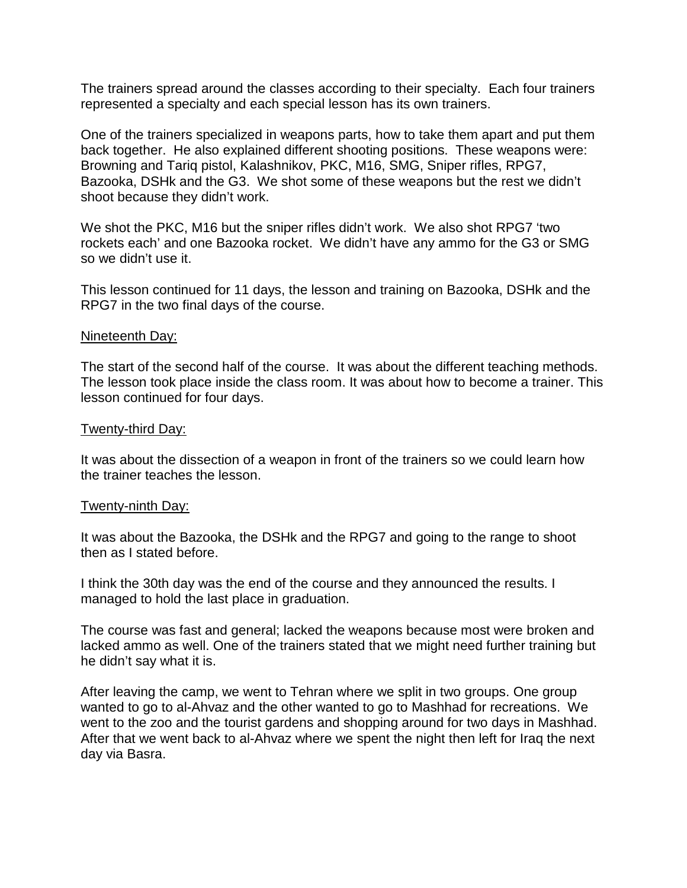The trainers spread around the classes according to their specialty. Each four trainers represented a specialty and each special lesson has its own trainers.

One of the trainers specialized in weapons parts, how to take them apart and put them back together. He also explained different shooting positions. These weapons were: Browning and Tariq pistol, Kalashnikov, PKC, M16, SMG, Sniper rifles, RPG7, Bazooka, DSHk and the G3. We shot some of these weapons but the rest we didn't shoot because they didn't work.

We shot the PKC, M16 but the sniper rifles didn't work. We also shot RPG7 'two rockets each' and one Bazooka rocket. We didn't have any ammo for the G3 or SMG so we didn't use it.

This lesson continued for 11 days, the lesson and training on Bazooka, DSHk and the RPG7 in the two final days of the course.

### Nineteenth Day:

The start of the second half of the course. It was about the different teaching methods. The lesson took place inside the class room. It was about how to become a trainer. This lesson continued for four days.

#### Twenty-third Day:

It was about the dissection of a weapon in front of the trainers so we could learn how the trainer teaches the lesson.

### Twenty-ninth Day:

It was about the Bazooka, the DSHk and the RPG7 and going to the range to shoot then as I stated before.

I think the 30th day was the end of the course and they announced the results. I managed to hold the last place in graduation.

The course was fast and general; lacked the weapons because most were broken and lacked ammo as well. One of the trainers stated that we might need further training but he didn't say what it is.

After leaving the camp, we went to Tehran where we split in two groups. One group wanted to go to al-Ahvaz and the other wanted to go to Mashhad for recreations. We went to the zoo and the tourist gardens and shopping around for two days in Mashhad. After that we went back to al-Ahvaz where we spent the night then left for Iraq the next day via Basra.